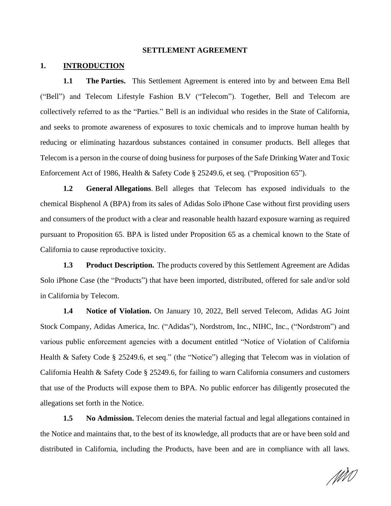#### **SETTLEMENT AGREEMENT**

## **1. INTRODUCTION**

**1.1 The Parties.** This Settlement Agreement is entered into by and between Ema Bell ("Bell") and Telecom Lifestyle Fashion B.V ("Telecom"). Together, Bell and Telecom are collectively referred to as the "Parties." Bell is an individual who resides in the State of California, and seeks to promote awareness of exposures to toxic chemicals and to improve human health by reducing or eliminating hazardous substances contained in consumer products. Bell alleges that Telecom is a person in the course of doing business for purposes of the Safe Drinking Water and Toxic Enforcement Act of 1986, Health & Safety Code § 25249.6, et seq*.* ("Proposition 65").

**1.2 General Allegations**. Bell alleges that Telecom has exposed individuals to the chemical Bisphenol A (BPA) from its sales of Adidas Solo iPhone Case without first providing users and consumers of the product with a clear and reasonable health hazard exposure warning as required pursuant to Proposition 65. BPA is listed under Proposition 65 as a chemical known to the State of California to cause reproductive toxicity.

**1.3 Product Description.** The products covered by this Settlement Agreement are Adidas Solo iPhone Case (the "Products") that have been imported, distributed, offered for sale and/or sold in California by Telecom.

**1.4 Notice of Violation.** On January 10, 2022, Bell served Telecom, Adidas AG Joint Stock Company, Adidas America, Inc. ("Adidas"), Nordstrom, Inc., NIHC, Inc., ("Nordstrom") and various public enforcement agencies with a document entitled "Notice of Violation of California Health & Safety Code § 25249.6, et seq." (the "Notice") alleging that Telecom was in violation of California Health & Safety Code § 25249.6, for failing to warn California consumers and customers that use of the Products will expose them to BPA. No public enforcer has diligently prosecuted the allegations set forth in the Notice.

**1.5 No Admission.** Telecom denies the material factual and legal allegations contained in the Notice and maintains that, to the best of its knowledge, all products that are or have been sold and distributed in California, including the Products, have been and are in compliance with all laws.

1111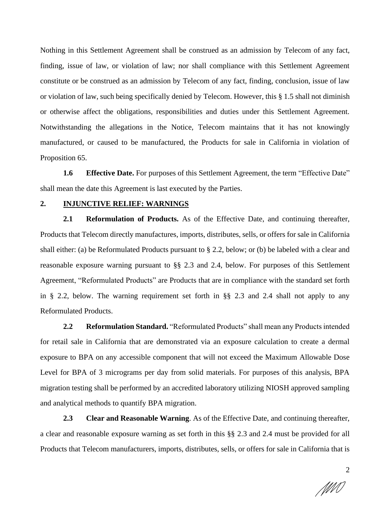Nothing in this Settlement Agreement shall be construed as an admission by Telecom of any fact, finding, issue of law, or violation of law; nor shall compliance with this Settlement Agreement constitute or be construed as an admission by Telecom of any fact, finding, conclusion, issue of law or violation of law, such being specifically denied by Telecom. However, this § 1.5 shall not diminish or otherwise affect the obligations, responsibilities and duties under this Settlement Agreement. Notwithstanding the allegations in the Notice, Telecom maintains that it has not knowingly manufactured, or caused to be manufactured, the Products for sale in California in violation of Proposition 65.

**1.6 Effective Date.** For purposes of this Settlement Agreement, the term "Effective Date" shall mean the date this Agreement is last executed by the Parties.

## **2. INJUNCTIVE RELIEF: WARNINGS**

**2.1 Reformulation of Products.** As of the Effective Date, and continuing thereafter, Products that Telecom directly manufactures, imports, distributes, sells, or offers for sale in California shall either: (a) be Reformulated Products pursuant to § 2.2, below; or (b) be labeled with a clear and reasonable exposure warning pursuant to §§ 2.3 and 2.4, below. For purposes of this Settlement Agreement, "Reformulated Products" are Products that are in compliance with the standard set forth in § 2.2, below. The warning requirement set forth in §§ 2.3 and 2.4 shall not apply to any Reformulated Products.

**2.2 Reformulation Standard.** "Reformulated Products" shall mean any Products intended for retail sale in California that are demonstrated via an exposure calculation to create a dermal exposure to BPA on any accessible component that will not exceed the Maximum Allowable Dose Level for BPA of 3 micrograms per day from solid materials. For purposes of this analysis, BPA migration testing shall be performed by an accredited laboratory utilizing NIOSH approved sampling and analytical methods to quantify BPA migration.

**2.3 Clear and Reasonable Warning**. As of the Effective Date, and continuing thereafter, a clear and reasonable exposure warning as set forth in this §§ 2.3 and 2.4 must be provided for all Products that Telecom manufacturers, imports, distributes, sells, or offers for sale in California that is

MN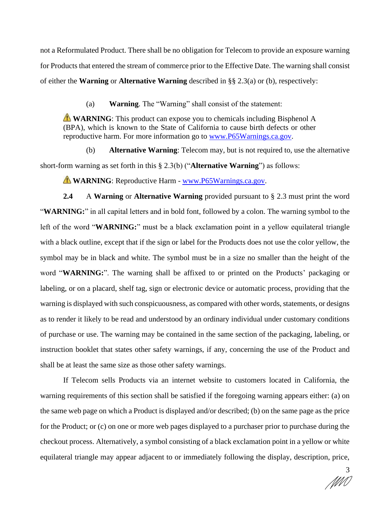not a Reformulated Product. There shall be no obligation for Telecom to provide an exposure warning for Products that entered the stream of commerce prior to the Effective Date. The warning shall consist of either the **Warning** or **Alternative Warning** described in §§ 2.3(a) or (b), respectively:

(a) **Warning**. The "Warning" shall consist of the statement:

**WARNING**: This product can expose you to chemicals including Bisphenol A (BPA), which is known to the State of California to cause birth defects or other reproductive harm. For more information go to www.P65Warnings.ca.gov.

(b) **Alternative Warning**: Telecom may, but is not required to, use the alternative short-form warning as set forth in this § 2.3(b) ("**Alternative Warning**") as follows:

**WARNING**: Reproductive Harm - www.P65Warnings.ca.gov.

**2.4** A **Warning** or **Alternative Warning** provided pursuant to § 2.3 must print the word "**WARNING:**" in all capital letters and in bold font, followed by a colon. The warning symbol to the left of the word "**WARNING:**" must be a black exclamation point in a yellow equilateral triangle with a black outline, except that if the sign or label for the Products does not use the color yellow, the symbol may be in black and white. The symbol must be in a size no smaller than the height of the word "**WARNING:**". The warning shall be affixed to or printed on the Products' packaging or labeling, or on a placard, shelf tag, sign or electronic device or automatic process, providing that the warning is displayed with such conspicuousness, as compared with other words, statements, or designs as to render it likely to be read and understood by an ordinary individual under customary conditions of purchase or use. The warning may be contained in the same section of the packaging, labeling, or instruction booklet that states other safety warnings, if any, concerning the use of the Product and shall be at least the same size as those other safety warnings.

If Telecom sells Products via an internet website to customers located in California, the warning requirements of this section shall be satisfied if the foregoing warning appears either: (a) on the same web page on which a Product is displayed and/or described; (b) on the same page as the price for the Product; or (c) on one or more web pages displayed to a purchaser prior to purchase during the checkout process. Alternatively, a symbol consisting of a black exclamation point in a yellow or white equilateral triangle may appear adjacent to or immediately following the display, description, price,

3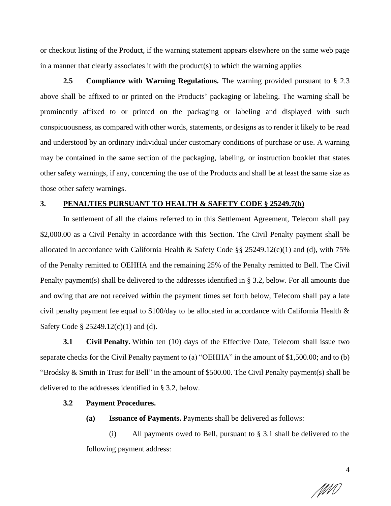or checkout listing of the Product, if the warning statement appears elsewhere on the same web page in a manner that clearly associates it with the product(s) to which the warning applies

**2.5 Compliance with Warning Regulations.** The warning provided pursuant to § 2.3 above shall be affixed to or printed on the Products' packaging or labeling. The warning shall be prominently affixed to or printed on the packaging or labeling and displayed with such conspicuousness, as compared with other words, statements, or designs as to render it likely to be read and understood by an ordinary individual under customary conditions of purchase or use. A warning may be contained in the same section of the packaging, labeling, or instruction booklet that states other safety warnings, if any, concerning the use of the Products and shall be at least the same size as those other safety warnings.

## **3. PENALTIES PURSUANT TO HEALTH & SAFETY CODE § 25249.7(b)**

In settlement of all the claims referred to in this Settlement Agreement, Telecom shall pay \$2,000.00 as a Civil Penalty in accordance with this Section. The Civil Penalty payment shall be allocated in accordance with California Health & Safety Code  $\S$ § 25249.12(c)(1) and (d), with 75% of the Penalty remitted to OEHHA and the remaining 25% of the Penalty remitted to Bell. The Civil Penalty payment(s) shall be delivered to the addresses identified in § 3.2, below. For all amounts due and owing that are not received within the payment times set forth below, Telecom shall pay a late civil penalty payment fee equal to \$100/day to be allocated in accordance with California Health & Safety Code § 25249.12(c)(1) and (d).

**3.1 Civil Penalty.** Within ten (10) days of the Effective Date, Telecom shall issue two separate checks for the Civil Penalty payment to (a) "OEHHA" in the amount of \$1,500.00; and to (b) "Brodsky & Smith in Trust for Bell" in the amount of \$500.00. The Civil Penalty payment(s) shall be delivered to the addresses identified in § 3.2, below.

## **3.2 Payment Procedures.**

**(a) Issuance of Payments.** Payments shall be delivered as follows:

(i) All payments owed to Bell, pursuant to § 3.1 shall be delivered to the following payment address:

4

MM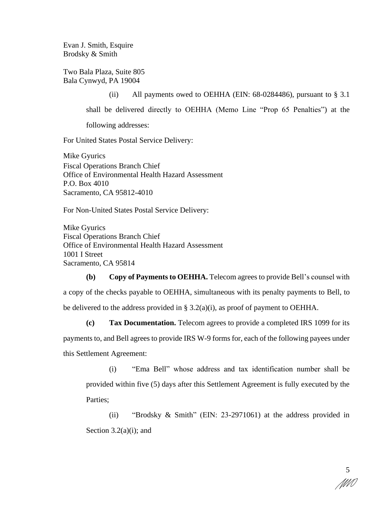Evan J. Smith, Esquire Brodsky & Smith

Two Bala Plaza, Suite 805 Bala Cynwyd, PA 19004

> (ii) All payments owed to OEHHA (EIN:  $68-0284486$ ), pursuant to  $\S 3.1$ shall be delivered directly to OEHHA (Memo Line "Prop 65 Penalties") at the following addresses:

For United States Postal Service Delivery:

Mike Gyurics Fiscal Operations Branch Chief Office of Environmental Health Hazard Assessment P.O. Box 4010 Sacramento, CA 95812-4010

For Non-United States Postal Service Delivery:

Mike Gyurics Fiscal Operations Branch Chief Office of Environmental Health Hazard Assessment 1001 I Street Sacramento, CA 95814

**(b) Copy of Payments to OEHHA.** Telecom agrees to provide Bell's counsel with a copy of the checks payable to OEHHA, simultaneous with its penalty payments to Bell, to be delivered to the address provided in § 3.2(a)(i), as proof of payment to OEHHA.

**(c) Tax Documentation.** Telecom agrees to provide a completed IRS 1099 for its payments to, and Bell agrees to provide IRS W-9 forms for, each of the following payees under this Settlement Agreement:

(i) "Ema Bell" whose address and tax identification number shall be provided within five (5) days after this Settlement Agreement is fully executed by the Parties;

(ii) "Brodsky & Smith" (EIN: 23-2971061) at the address provided in Section  $3.2(a)(i)$ ; and

5 MM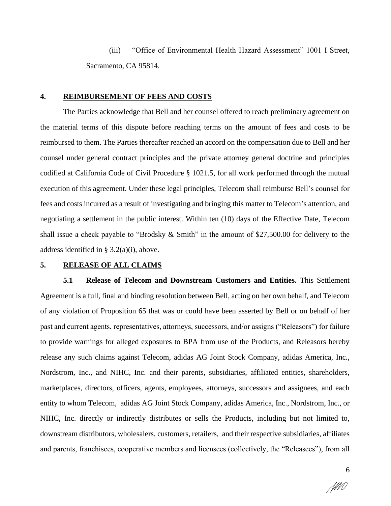(iii) "Office of Environmental Health Hazard Assessment" 1001 I Street, Sacramento, CA 95814.

### **4. REIMBURSEMENT OF FEES AND COSTS**

The Parties acknowledge that Bell and her counsel offered to reach preliminary agreement on the material terms of this dispute before reaching terms on the amount of fees and costs to be reimbursed to them. The Parties thereafter reached an accord on the compensation due to Bell and her counsel under general contract principles and the private attorney general doctrine and principles codified at California Code of Civil Procedure § 1021.5, for all work performed through the mutual execution of this agreement. Under these legal principles, Telecom shall reimburse Bell's counsel for fees and costs incurred as a result of investigating and bringing this matter to Telecom's attention, and negotiating a settlement in the public interest. Within ten (10) days of the Effective Date, Telecom shall issue a check payable to "Brodsky & Smith" in the amount of \$27,500.00 for delivery to the address identified in § 3.2(a)(i), above.

# **5. RELEASE OF ALL CLAIMS**

**5.1 Release of Telecom and Downstream Customers and Entities.** This Settlement Agreement is a full, final and binding resolution between Bell, acting on her own behalf, and Telecom of any violation of Proposition 65 that was or could have been asserted by Bell or on behalf of her past and current agents, representatives, attorneys, successors, and/or assigns ("Releasors") for failure to provide warnings for alleged exposures to BPA from use of the Products, and Releasors hereby release any such claims against Telecom, adidas AG Joint Stock Company, adidas America, Inc., Nordstrom, Inc., and NIHC, Inc. and their parents, subsidiaries, affiliated entities, shareholders, marketplaces, directors, officers, agents, employees, attorneys, successors and assignees, and each entity to whom Telecom, adidas AG Joint Stock Company, adidas America, Inc., Nordstrom, Inc., or NIHC, Inc. directly or indirectly distributes or sells the Products, including but not limited to, downstream distributors, wholesalers, customers, retailers, and their respective subsidiaries, affiliates and parents, franchisees, cooperative members and licensees (collectively, the "Releasees"), from all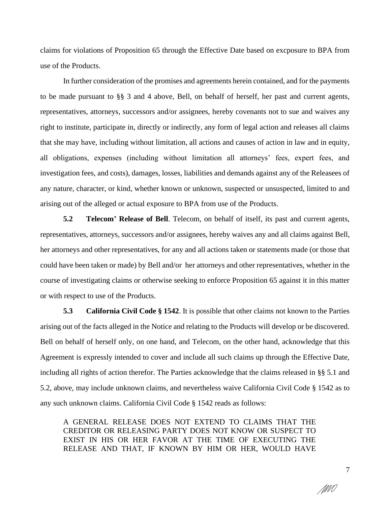claims for violations of Proposition 65 through the Effective Date based on excposure to BPA from use of the Products.

In further consideration of the promises and agreements herein contained, and for the payments to be made pursuant to §§ 3 and 4 above, Bell, on behalf of herself, her past and current agents, representatives, attorneys, successors and/or assignees, hereby covenants not to sue and waives any right to institute, participate in, directly or indirectly, any form of legal action and releases all claims that she may have, including without limitation, all actions and causes of action in law and in equity, all obligations, expenses (including without limitation all attorneys' fees, expert fees, and investigation fees, and costs), damages, losses, liabilities and demands against any of the Releasees of any nature, character, or kind, whether known or unknown, suspected or unsuspected, limited to and arising out of the alleged or actual exposure to BPA from use of the Products.

**5.2 Telecom' Release of Bell**. Telecom, on behalf of itself, its past and current agents, representatives, attorneys, successors and/or assignees, hereby waives any and all claims against Bell, her attorneys and other representatives, for any and all actions taken or statements made (or those that could have been taken or made) by Bell and/or her attorneys and other representatives, whether in the course of investigating claims or otherwise seeking to enforce Proposition 65 against it in this matter or with respect to use of the Products.

**5.3 California Civil Code § 1542**. It is possible that other claims not known to the Parties arising out of the facts alleged in the Notice and relating to the Products will develop or be discovered. Bell on behalf of herself only, on one hand, and Telecom, on the other hand, acknowledge that this Agreement is expressly intended to cover and include all such claims up through the Effective Date, including all rights of action therefor. The Parties acknowledge that the claims released in §§ 5.1 and 5.2, above, may include unknown claims, and nevertheless waive California Civil Code § 1542 as to any such unknown claims. California Civil Code § 1542 reads as follows:

A GENERAL RELEASE DOES NOT EXTEND TO CLAIMS THAT THE CREDITOR OR RELEASING PARTY DOES NOT KNOW OR SUSPECT TO EXIST IN HIS OR HER FAVOR AT THE TIME OF EXECUTING THE RELEASE AND THAT, IF KNOWN BY HIM OR HER, WOULD HAVE

7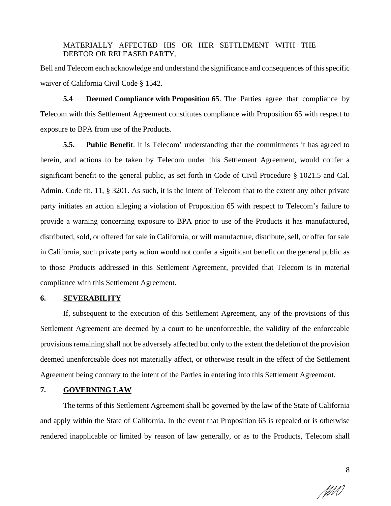MATERIALLY AFFECTED HIS OR HER SETTLEMENT WITH THE DEBTOR OR RELEASED PARTY.

Bell and Telecom each acknowledge and understand the significance and consequences of this specific waiver of California Civil Code § 1542.

**5.4 Deemed Compliance with Proposition 65**. The Parties agree that compliance by Telecom with this Settlement Agreement constitutes compliance with Proposition 65 with respect to exposure to BPA from use of the Products.

**5.5. Public Benefit**. It is Telecom' understanding that the commitments it has agreed to herein, and actions to be taken by Telecom under this Settlement Agreement, would confer a significant benefit to the general public, as set forth in Code of Civil Procedure § 1021.5 and Cal. Admin. Code tit. 11, § 3201. As such, it is the intent of Telecom that to the extent any other private party initiates an action alleging a violation of Proposition 65 with respect to Telecom's failure to provide a warning concerning exposure to BPA prior to use of the Products it has manufactured, distributed, sold, or offered for sale in California, or will manufacture, distribute, sell, or offer for sale in California, such private party action would not confer a significant benefit on the general public as to those Products addressed in this Settlement Agreement, provided that Telecom is in material compliance with this Settlement Agreement.

## **6. SEVERABILITY**

If, subsequent to the execution of this Settlement Agreement, any of the provisions of this Settlement Agreement are deemed by a court to be unenforceable, the validity of the enforceable provisions remaining shall not be adversely affected but only to the extent the deletion of the provision deemed unenforceable does not materially affect, or otherwise result in the effect of the Settlement Agreement being contrary to the intent of the Parties in entering into this Settlement Agreement.

## **7. GOVERNING LAW**

The terms of this Settlement Agreement shall be governed by the law of the State of California and apply within the State of California. In the event that Proposition 65 is repealed or is otherwise rendered inapplicable or limited by reason of law generally, or as to the Products, Telecom shall

MMÍ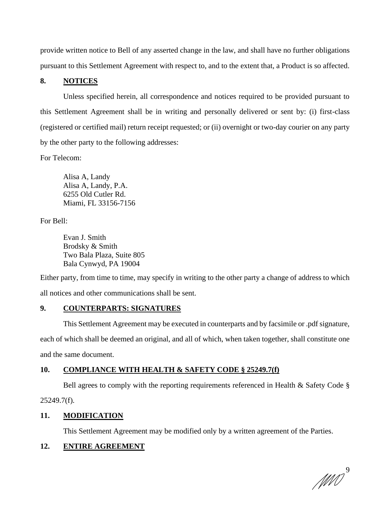provide written notice to Bell of any asserted change in the law, and shall have no further obligations pursuant to this Settlement Agreement with respect to, and to the extent that, a Product is so affected.

# **8. NOTICES**

Unless specified herein, all correspondence and notices required to be provided pursuant to this Settlement Agreement shall be in writing and personally delivered or sent by: (i) first-class (registered or certified mail) return receipt requested; or (ii) overnight or two-day courier on any party by the other party to the following addresses:

For Telecom:

Alisa A, Landy Alisa A, Landy, P.A. 6255 Old Cutler Rd. Miami, FL 33156-7156

For Bell:

Evan J. Smith Brodsky & Smith Two Bala Plaza, Suite 805 Bala Cynwyd, PA 19004

Either party, from time to time, may specify in writing to the other party a change of address to which all notices and other communications shall be sent.

# **9. COUNTERPARTS: SIGNATURES**

This Settlement Agreement may be executed in counterparts and by facsimile or .pdf signature, each of which shall be deemed an original, and all of which, when taken together, shall constitute one and the same document.

# **10. COMPLIANCE WITH HEALTH & SAFETY CODE § 25249.7(f)**

Bell agrees to comply with the reporting requirements referenced in Health & Safety Code §

25249.7(f).

## **11. MODIFICATION**

This Settlement Agreement may be modified only by a written agreement of the Parties.

# **12. ENTIRE AGREEMENT**

 $\mathbb{M}$